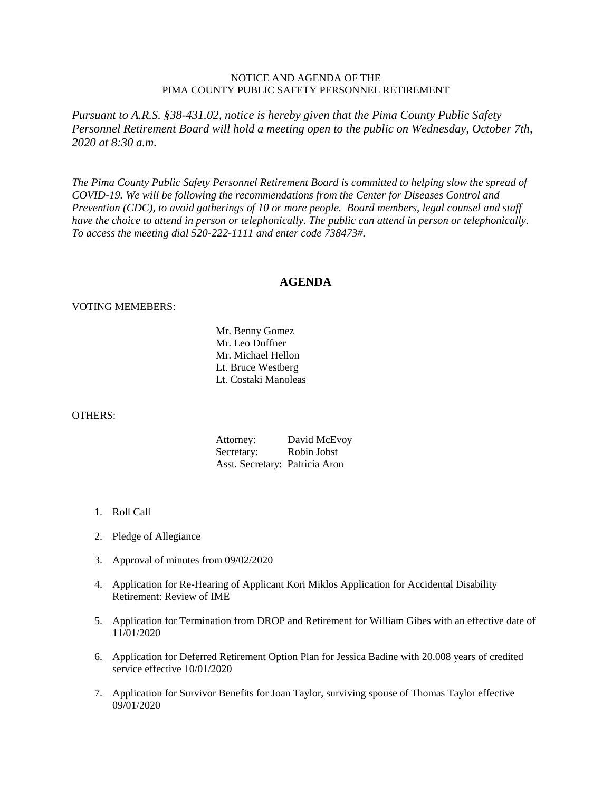## NOTICE AND AGENDA OF THE PIMA COUNTY PUBLIC SAFETY PERSONNEL RETIREMENT

*Pursuant to A.R.S. §38-431.02, notice is hereby given that the Pima County Public Safety Personnel Retirement Board will hold a meeting open to the public on Wednesday, October 7th, 2020 at 8:30 a.m.*

*The Pima County Public Safety Personnel Retirement Board is committed to helping slow the spread of COVID-19. We will be following the recommendations from the Center for Diseases Control and Prevention (CDC), to avoid gatherings of 10 or more people. Board members, legal counsel and staff have the choice to attend in person or telephonically. The public can attend in person or telephonically. To access the meeting dial 520-222-1111 and enter code 738473#.*

## **AGENDA**

## VOTING MEMEBERS:

Mr. Benny Gomez Mr. Leo Duffner Mr. Michael Hellon Lt. Bruce Westberg Lt. Costaki Manoleas

## OTHERS:

| Attorney:                      | David McEvoy |
|--------------------------------|--------------|
| Secretary:                     | Robin Jobst  |
| Asst. Secretary: Patricia Aron |              |

- 1. Roll Call
- 2. Pledge of Allegiance
- 3. Approval of minutes from 09/02/2020
- 4. Application for Re-Hearing of Applicant Kori Miklos Application for Accidental Disability Retirement: Review of IME
- 5. Application for Termination from DROP and Retirement for William Gibes with an effective date of 11/01/2020
- 6. Application for Deferred Retirement Option Plan for Jessica Badine with 20.008 years of credited service effective 10/01/2020
- 7. Application for Survivor Benefits for Joan Taylor, surviving spouse of Thomas Taylor effective 09/01/2020